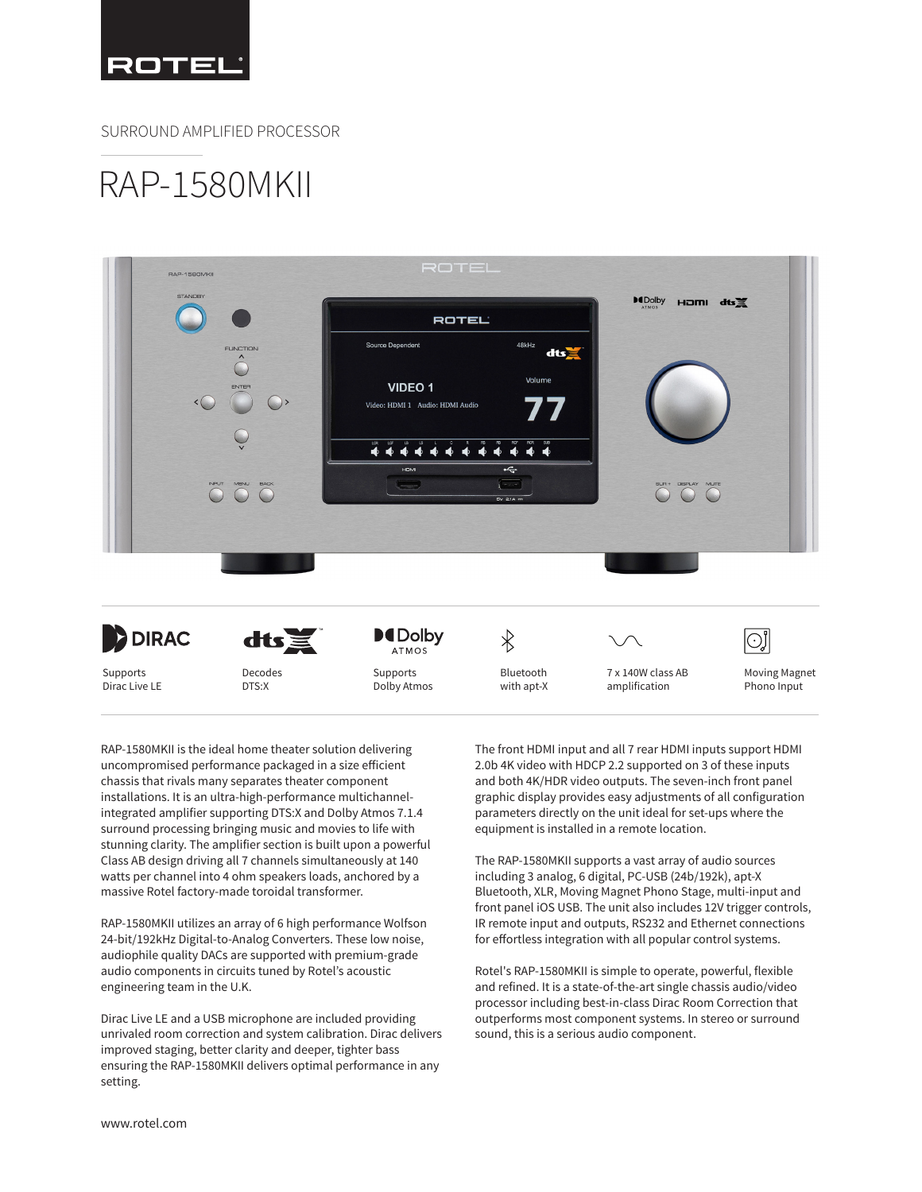

SURROUND AMPLIFIED PROCESSOR

## RAP-1580MKII



Supports Dirac Live LE

Supports Dolby Atmos Bluetooth with apt-X

7 x 140W class AB amplification

Moving Magnet Phono Input

RAP-1580MKII is the ideal home theater solution delivering uncompromised performance packaged in a size efficient chassis that rivals many separates theater component installations. It is an ultra-high-performance multichannelintegrated amplifier supporting DTS:X and Dolby Atmos 7.1.4 surround processing bringing music and movies to life with stunning clarity. The amplifier section is built upon a powerful Class AB design driving all 7 channels simultaneously at 140 watts per channel into 4 ohm speakers loads, anchored by a massive Rotel factory-made toroidal transformer.

DTS:X

RAP-1580MKII utilizes an array of 6 high performance Wolfson 24-bit/192kHz Digital-to-Analog Converters. These low noise, audiophile quality DACs are supported with premium-grade audio components in circuits tuned by Rotel's acoustic engineering team in the U.K.

Dirac Live LE and a USB microphone are included providing unrivaled room correction and system calibration. Dirac delivers improved staging, better clarity and deeper, tighter bass ensuring the RAP-1580MKII delivers optimal performance in any setting.

The front HDMI input and all 7 rear HDMI inputs support HDMI 2.0b 4K video with HDCP 2.2 supported on 3 of these inputs and both 4K/HDR video outputs. The seven-inch front panel graphic display provides easy adjustments of all configuration parameters directly on the unit ideal for set-ups where the equipment is installed in a remote location.

The RAP-1580MKII supports a vast array of audio sources including 3 analog, 6 digital, PC-USB (24b/192k), apt-X Bluetooth, XLR, Moving Magnet Phono Stage, multi-input and front panel iOS USB. The unit also includes 12V trigger controls, IR remote input and outputs, RS232 and Ethernet connections for effortless integration with all popular control systems.

Rotel's RAP-1580MKII is simple to operate, powerful, flexible and refined. It is a state-of-the-art single chassis audio/video processor including best-in-class Dirac Room Correction that outperforms most component systems. In stereo or surround sound, this is a serious audio component.